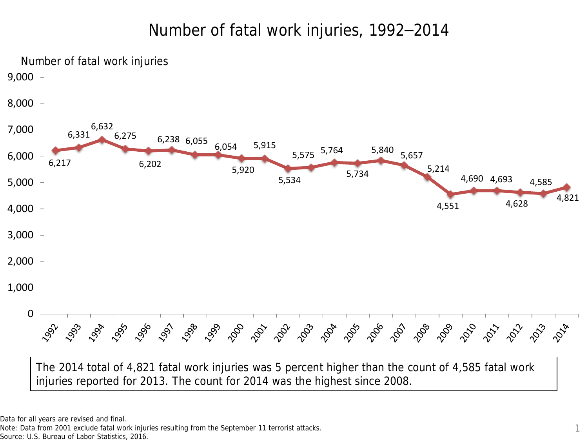# Number of fatal work injuries, 1992–2014



Note: Data from 2001 exclude fatal work injuries resulting from the September 11 terrorist attacks.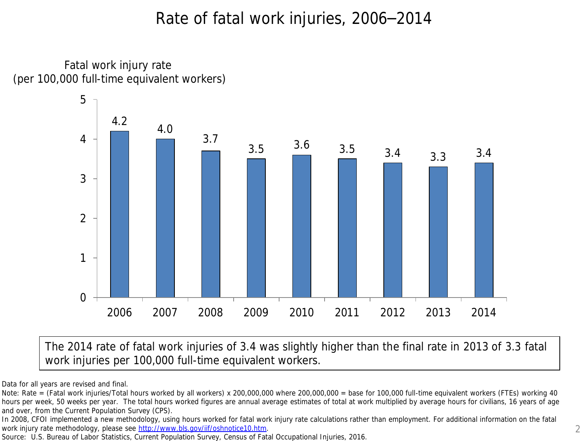## Rate of fatal work injuries, 2006–2014

Fatal work injury rate (per 100,000 full-time equivalent workers)



The 2014 rate of fatal work injuries of 3.4 was slightly higher than the final rate in 2013 of 3.3 fatal work injuries per 100,000 full-time equivalent workers.

Data for all years are revised and final.

Note: Rate = (Fatal work injuries/Total hours worked by all workers) x 200,000,000 where 200,000,000 = base for 100,000 full-time equivalent workers (FTEs) working 40 hours per week, 50 weeks per year. The total hours worked figures are annual average estimates of total at work multiplied by average hours for civilians, 16 years of age and over, from the Current Population Survey (CPS).

In 2008, CFOI implemented a new methodology, using hours worked for fatal work injury rate calculations rather than employment. For additional information on the fatal work injury rate methodology, please see <http://www.bls.gov/iif/oshnotice10.htm>.

Source: U.S. Bureau of Labor Statistics, Current Population Survey, Census of Fatal Occupational Injuries, 2016.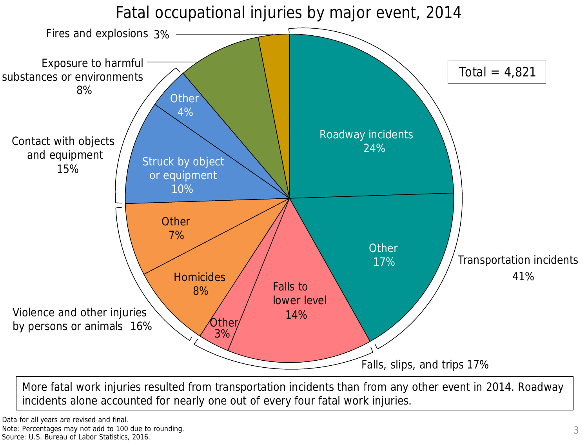Fatal occupational injuries by major event, 2014



More fatal work injuries resulted from transportation incidents than from any other event in 2014. Roadway incidents alone accounted for nearly one out of every four fatal work injuries.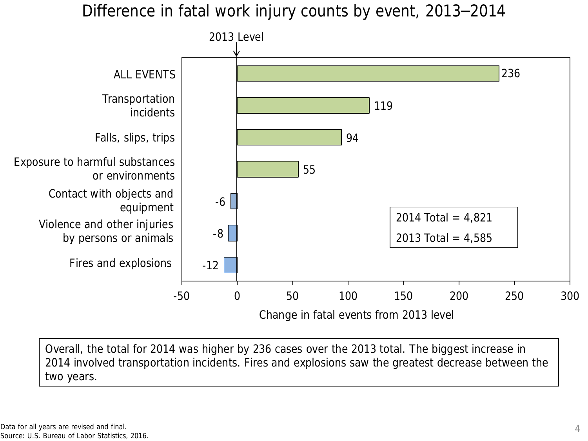Difference in fatal work injury counts by event, 2013–2014



Overall, the total for 2014 was higher by 236 cases over the 2013 total. The biggest increase in 2014 involved transportation incidents. Fires and explosions saw the greatest decrease between the two years.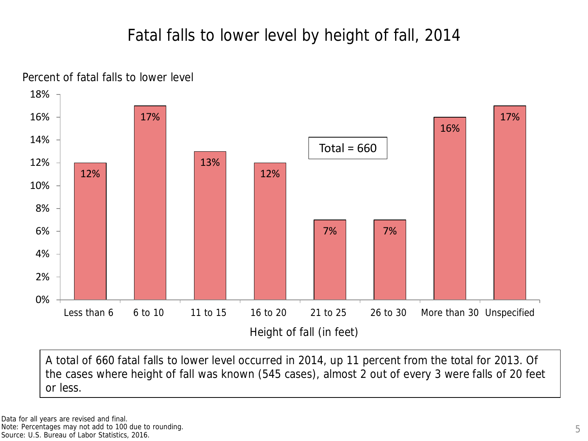# Fatal falls to lower level by height of fall, 2014



Percent of fatal falls to lower level

A total of 660 fatal falls to lower level occurred in 2014, up 11 percent from the total for 2013. Of the cases where height of fall was known (545 cases), almost 2 out of every 3 were falls of 20 feet or less.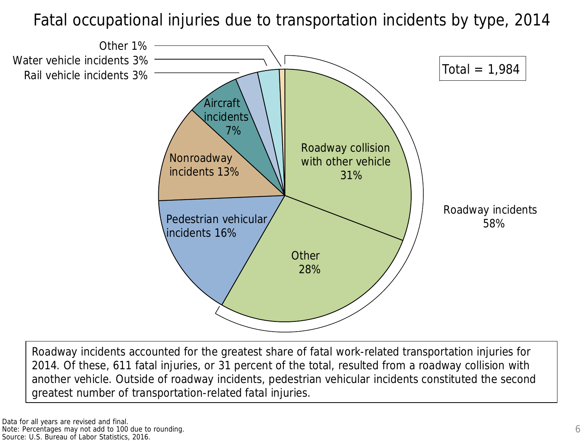Fatal occupational injuries due to transportation incidents by type, 2014



Roadway incidents accounted for the greatest share of fatal work-related transportation injuries for 2014. Of these, 611 fatal injuries, or 31 percent of the total, resulted from a roadway collision with another vehicle. Outside of roadway incidents, pedestrian vehicular incidents constituted the second greatest number of transportation-related fatal injuries.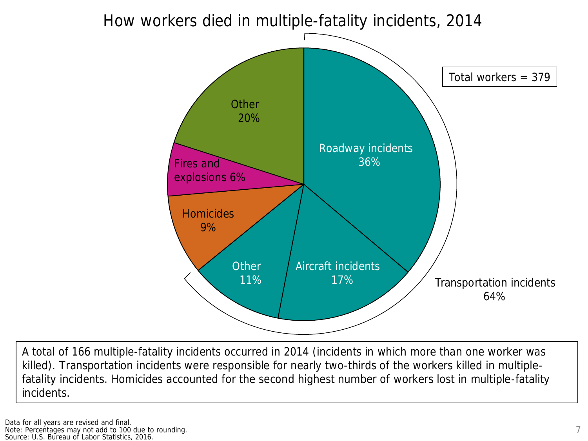#### How workers died in multiple-fatality incidents, 2014



A total of 166 multiple-fatality incidents occurred in 2014 (incidents in which more than one worker was killed). Transportation incidents were responsible for nearly two-thirds of the workers killed in multiplefatality incidents. Homicides accounted for the second highest number of workers lost in multiple-fatality incidents.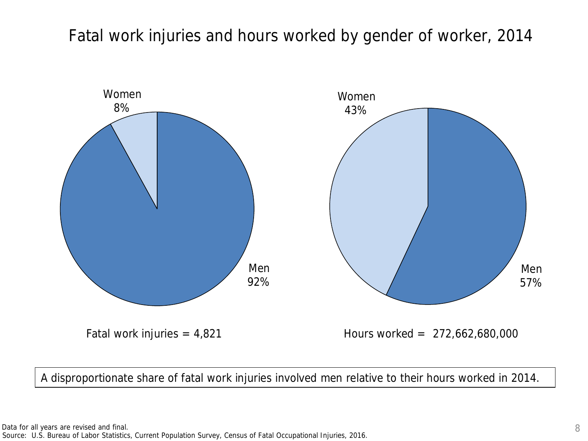Fatal work injuries and hours worked by gender of worker, 2014



A disproportionate share of fatal work injuries involved men relative to their hours worked in 2014.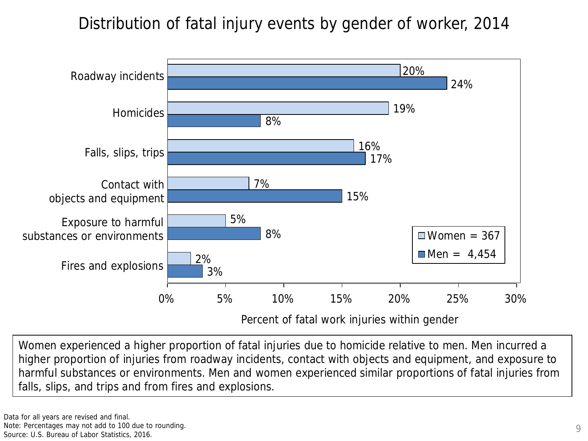Distribution of fatal injury events by gender of worker, 2014



Women experienced a higher proportion of fatal injuries due to homicide relative to men. Men incurred a higher proportion of injuries from roadway incidents, contact with objects and equipment, and exposure to harmful substances or environments. Men and women experienced similar proportions of fatal injuries from falls, slips, and trips and from fires and explosions.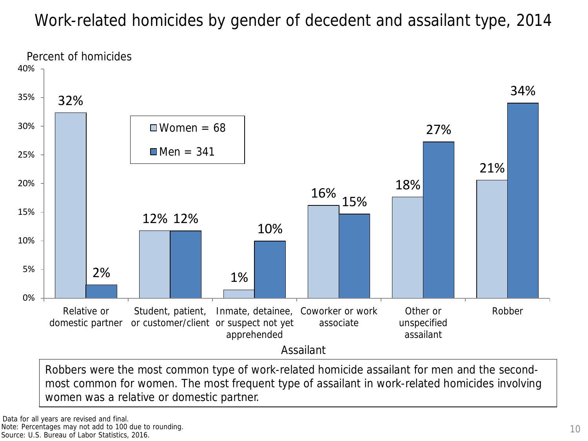# Work-related homicides by gender of decedent and assailant type, 2014



most common for women. The most frequent type of assailant in work-related homicides involving women was a relative or domestic partner.

Note: Percentages may not add to 100 due to rounding.

Source: U.S. Bureau of Labor Statistics, 2016.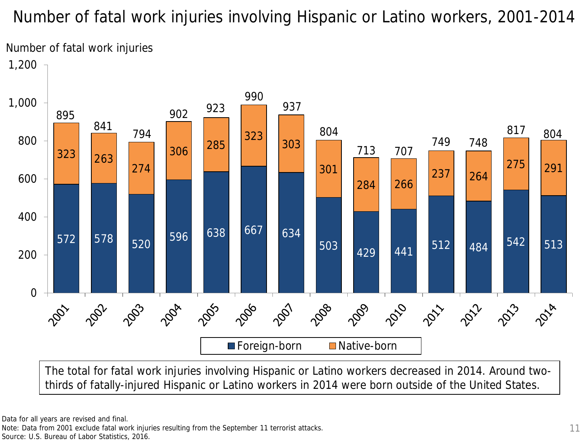Number of fatal work injuries involving Hispanic or Latino workers, 2001-2014



The total for fatal work injuries involving Hispanic or Latino workers decreased in 2014. Around twothirds of fatally-injured Hispanic or Latino workers in 2014 were born outside of the United States.

Data for all years are revised and final.

Note: Data from 2001 exclude fatal work injuries resulting from the September 11 terrorist attacks. Source: U.S. Bureau of Labor Statistics, 2016.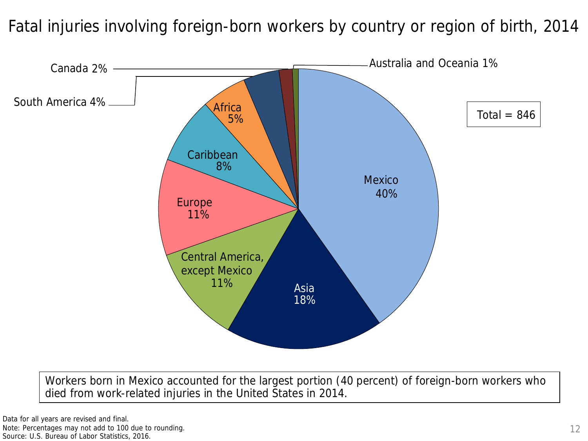Fatal injuries involving foreign-born workers by country or region of birth, 2014



Workers born in Mexico accounted for the largest portion (40 percent) of foreign-born workers who died from work-related injuries in the United States in 2014.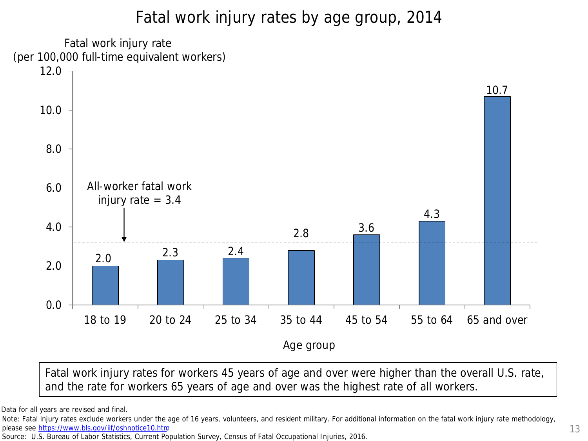# Fatal work injury rates by age group, 2014



Fatal work injury rates for workers 45 years of age and over were higher than the overall U.S. rate, and the rate for workers 65 years of age and over was the highest rate of all workers.

Data for all years are revised and final.

Note: Fatal injury rates exclude workers under the age of 16 years, volunteers, and resident military. For additional information on the fatal work injury rate methodology, please see [https://www.bls.gov/iif/oshnotice10.htm.](http://www.bls.gov/iif/oshnotice10.htm)

Source: U.S. Bureau of Labor Statistics, Current Population Survey, Census of Fatal Occupational Injuries, 2016.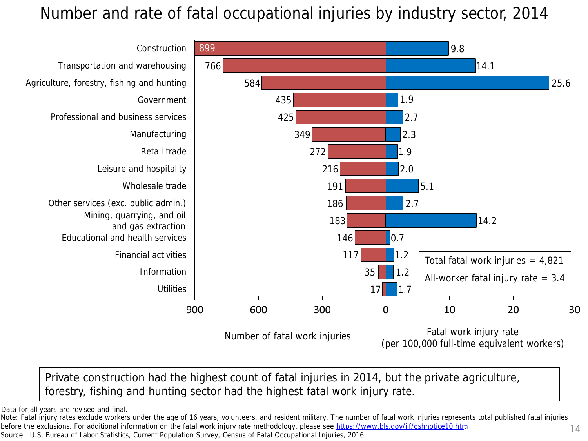# Number and rate of fatal occupational injuries by industry sector, 2014



#### Private construction had the highest count of fatal injuries in 2014, but the private agriculture, forestry, fishing and hunting sector had the highest fatal work injury rate.

Data for all years are revised and final.

Note: Fatal injury rates exclude workers under the age of 16 years, volunteers, and resident military. The number of fatal work injuries represents total published fatal injuries before the exclusions. For additional information on the fatal work injury rate methodology, please see https://www.bls.gov/iif/oshnotice10.htm before the exclusions. For additional information on the fatal work injury rate methodology, please see <u>https://www.bls.gov/iif/oshnotice10.htm</u><br>Source: U.S. Bureau of Labor Statistics, Current Population Survey, Census o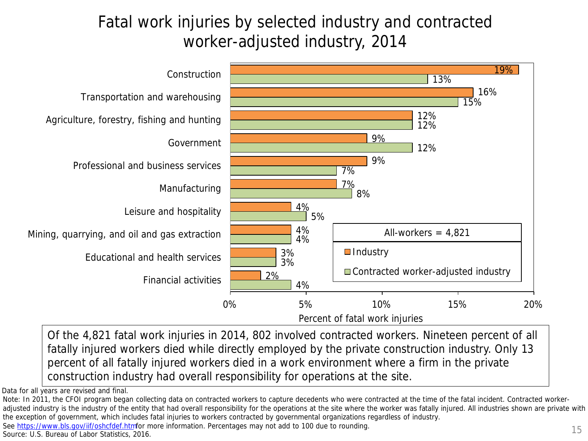# Fatal work injuries by selected industry and contracted worker-adjusted industry, 2014



Of the 4,821 fatal work injuries in 2014, 802 involved contracted workers. Nineteen percent of all fatally injured workers died while directly employed by the private construction industry. Only 13 percent of all fatally injured workers died in a work environment where a firm in the private construction industry had overall responsibility for operations at the site.

Data for all years are revised and final.

See [https://www.bls.gov/iif/oshcfdef.htm](http://www.bls.gov/iif/oshcfdef.htm)for more information. Percentages may not add to 100 due to rounding.

Note: In 2011, the CFOI program began collecting data on contracted workers to capture decedents who were contracted at the time of the fatal incident. Contracted workeradjusted industry is the industry of the entity that had overall responsibility for the operations at the site where the worker was fatally injured. All industries shown are private with the exception of government, which includes fatal injuries to workers contracted by governmental organizations regardless of industry.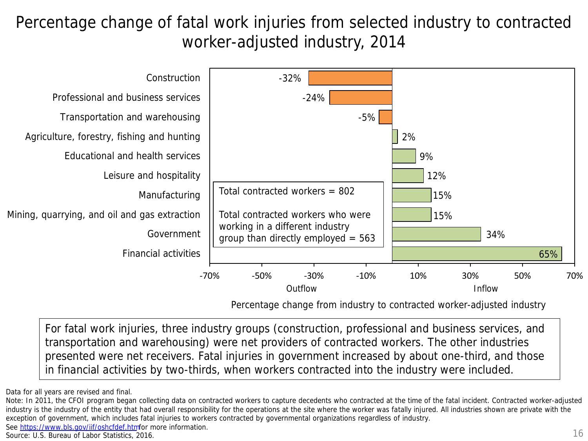Percentage change of fatal work injuries from selected industry to contracted worker-adjusted industry, 2014



Percentage change from industry to contracted worker-adjusted industry

For fatal work injuries, three industry groups (construction, professional and business services, and transportation and warehousing) were net providers of contracted workers. The other industries presented were net receivers. Fatal injuries in government increased by about one-third, and those in financial activities by two-thirds, when workers contracted into the industry were included.

See [https://www.bls.gov/iif/oshcfdef.htm](http://www.bls.gov/iif/oshcfdef.htm)for more information.

Data for all years are revised and final.

Note: In 2011, the CFOI program began collecting data on contracted workers to capture decedents who contracted at the time of the fatal incident. Contracted worker-adjusted industry is the industry of the entity that had overall responsibility for the operations at the site where the worker was fatally injured. All industries shown are private with the exception of government, which includes fatal injuries to workers contracted by governmental organizations regardless of industry.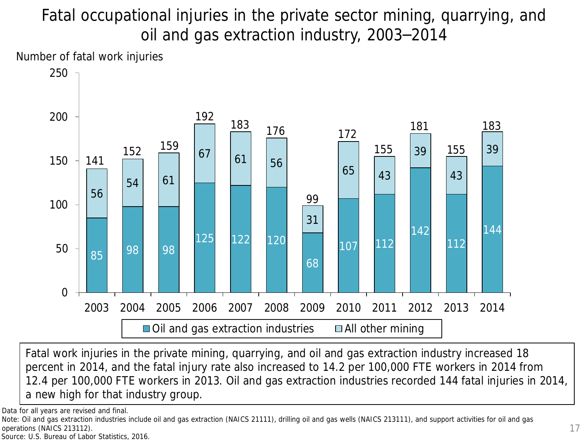# Fatal occupational injuries in the private sector mining, quarrying, and oil and gas extraction industry, 2003–2014

Number of fatal work injuries



Fatal work injuries in the private mining, quarrying, and oil and gas extraction industry increased 18 percent in 2014, and the fatal injury rate also increased to 14.2 per 100,000 FTE workers in 2014 from 12.4 per 100,000 FTE workers in 2013. Oil and gas extraction industries recorded 144 fatal injuries in 2014, a new high for that industry group.

Data for all years are revised and final.

Note: Oil and gas extraction industries include oil and gas extraction (NAICS 21111), drilling oil and gas wells (NAICS 213111), and support activities for oil and gas operations (NAICS 213112).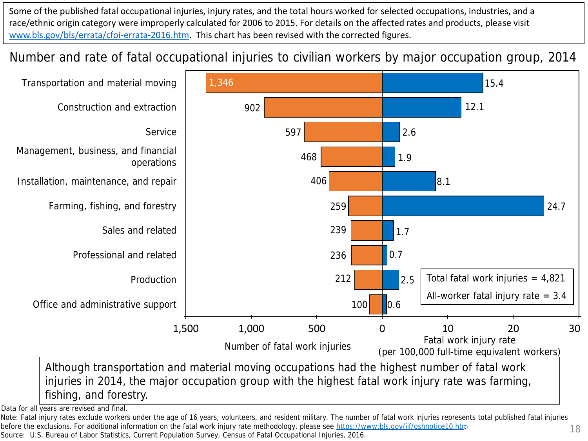Some of the published fatal occupational injuries, injury rates, and the total hours worked for selected occupations, industries, and a race/ethnic origin category were improperly calculated for 2006 to 2015. For details on the affected rates and products, please visit [www.bls.gov/bls/errata/cfoi-errata-2016.htm.](http://www.bls.gov/bls/errata/cfoi-errata-2016.htm) This chart has been revised with the corrected figures.

Number and rate of fatal occupational injuries to civilian workers by major occupation group, 2014



injuries in 2014, the major occupation group with the highest fatal work injury rate was farming, fishing, and forestry.

Data for all years are revised and final.

Note: Fatal injury rates exclude workers under the age of 16 years, volunteers, and resident military. The number of fatal work injuries represents total published fatal injuries before the exclusions. For additional information on the fatal work injury rate methodology, please see https://www.bls.gov/iif/oshnotice10.htm

Source: U.S. Bureau of Labor Statistics, Current Population Survey, Census of Fatal Occupational Injuries, 2016.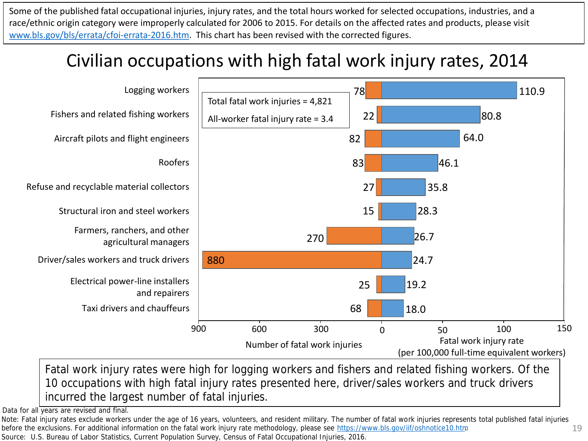Some of the published fatal occupational injuries, injury rates, and the total hours worked for selected occupations, industries, and a race/ethnic origin category were improperly calculated for 2006 to 2015. For details on the affected rates and products, please visit [www.bls.gov/bls/errata/cfoi-errata-2016.htm.](http://www.bls.gov/bls/errata/cfoi-errata-2016.htm) This chart has been revised with the corrected figures.

# Civilian occupations with high fatal work injury rates, 2014



Fatal work injury rates were high for logging workers and fishers and related fishing workers. Of the 10 occupations with high fatal injury rates presented here, driver/sales workers and truck drivers incurred the largest number of fatal injuries.

Data for all years are revised and final.

19 Note: Fatal injury rates exclude workers under the age of 16 years, volunteers, and resident military. The number of fatal work injuries represents total published fatal injuries before the exclusions. For additional information on the fatal work injury rate methodology, please see https://www.bls.gov/iif/oshnotice10.htm Source: U.S. Bureau of Labor Statistics, Current Population Survey, Census of Fatal Occupational Injuries, 2016.